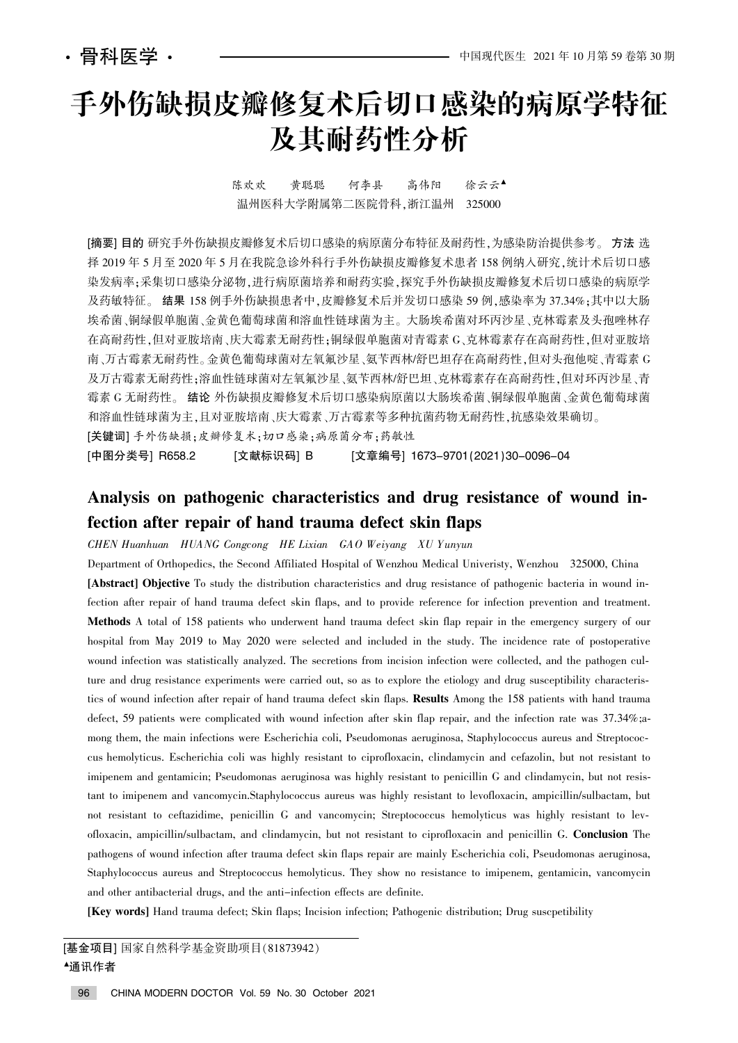# 手外伤缺损皮瓣修复术后切口感染的病原学特征 及其耐药性分析

陈欢欢 黄聪聪 何李县 高伟阳 徐云云▲ 温州医科大学附属第二医院骨科,浙江温州 325000

[摘要] 目的 研究手外伤缺损皮瓣修复术后切口感染的病原菌分布特征及耐药性,为感染防治提供参考。 方法 选 择 2019年5月至2020年5月在我院急诊外科行手外伤缺损皮瓣修复术患者 158 例纳入研究,统计术后切口感 染发病率:采集切口感染分泌物,进行病原菌培养和耐药实验,探究手外伤缺损皮瓣修复术后切口感染的病原学 及药敏特征。 结果 158 例手外伤缺损患者中,皮瓣修复术后并发切口感染 59 例,感染率为 37.34%;其中以大肠 埃希菌、铜绿假单胞菌、冷菌和溶血性链球菌为主。大肠埃希菌对环丙沙星、克林霉素及头孢唑林存 在高耐药性,但对亚胺培南、庆大霉素无耐药性;铜绿假单胞菌对青霉素 G、克林霉素存在高耐药性,但对亚胺培 南、万古霉素无耐药性。金黄色葡萄球菌对左氧氟沙星、氨苄西林/舒巴坦存在高耐药性,但对头孢他啶、青霉素 G 及万古霉素无耐药性:溶血性链球菌对左氧氟沙星、氨苄西林/舒巴坦、克林霉素存在高耐药性,但对环丙沙星、青 霉素 G 无耐药性。 结论 外伤缺损皮瓣修复术后切口感染病原菌以大肠埃希菌、铜绿假单胞菌、金黄色葡萄球菌 和溶血性链球菌为主、用对亚胺培南、庆大霉素、万古霉素等多种抗菌药物无耐药性,抗感染效果确切。

[关键词] 手外伤缺损;皮瓣修复术;切口感染;病原菌分布;药敏性

[中图分类号] R658.2 [文献标识码] B [文章编号] 1673-9701(2021)30-0096-04

## Analysis on pathogenic characteristics and drug resistance of wound infection after repair of hand trauma defect skin flaps

CHEN Huanhuan HUANG Congcong HE Lixian GAO Weiyang XU Yunyun

Department of Orthopedics, the Second Affiliated Hospital of Wenzhou Medical Univeristy, Wenzhou 325000, China [Abstract] Objective To study the distribution characteristics and drug resistance of pathogenic bacteria in wound infection after repair of hand trauma defect skin flaps, and to provide reference for infection prevention and treatment. Methods A total of 158 patients who underwent hand trauma defect skin flap repair in the emergency surgery of our hospital from May 2019 to May 2020 were selected and included in the study. The incidence rate of postoperative wound infection was statistically analyzed. The secretions from incision infection were collected, and the pathogen culture and drug resistance experiments were carried out, so as to explore the etiology and drug susceptibility characteristics of wound infection after repair of hand trauma defect skin flaps. Results Among the 158 patients with hand trauma defect, 59 patients were complicated with wound infection after skin flap repair, and the infection rate was 37.34%;among them, the main infections were Escherichia coli, Pseudomonas aeruginosa, Staphylococcus aureus and Streptococcus hemolyticus. Escherichia coli was highly resistant to ciprofloxacin, clindamycin and cefazolin, but not resistant to imipenem and gentamicin; Pseudomonas aeruginosa was highly resistant to penicillin G and clindamycin, but not resistant to imipenem and vancomycin.Staphylococcus aureus was highly resistant to levofloxacin, ampicillin/sulbactam, but not resistant to ceftazidime, penicillin G and vancomycin; Streptococcus hemolyticus was highly resistant to levofloxacin, ampicillin/sulbactam, and clindamycin, but not resistant to ciprofloxacin and penicillin G. Conclusion The pathogens of wound infection after trauma defect skin flaps repair are mainly Escherichia coli, Pseudomonas aeruginosa, Staphylococcus aureus and Streptococcus hemolyticus. They show no resistance to imipenem, gentamicin, vancomycin and other antibacterial drugs, and the anti-infection effects are definite.

[Key words] Hand trauma defect; Skin flaps; Incision infection; Pathogenic distribution; Drug suscpetibility

[基金项目] 国家自然科学基金资助项目(81873942) <sup>银</sup>通讯作者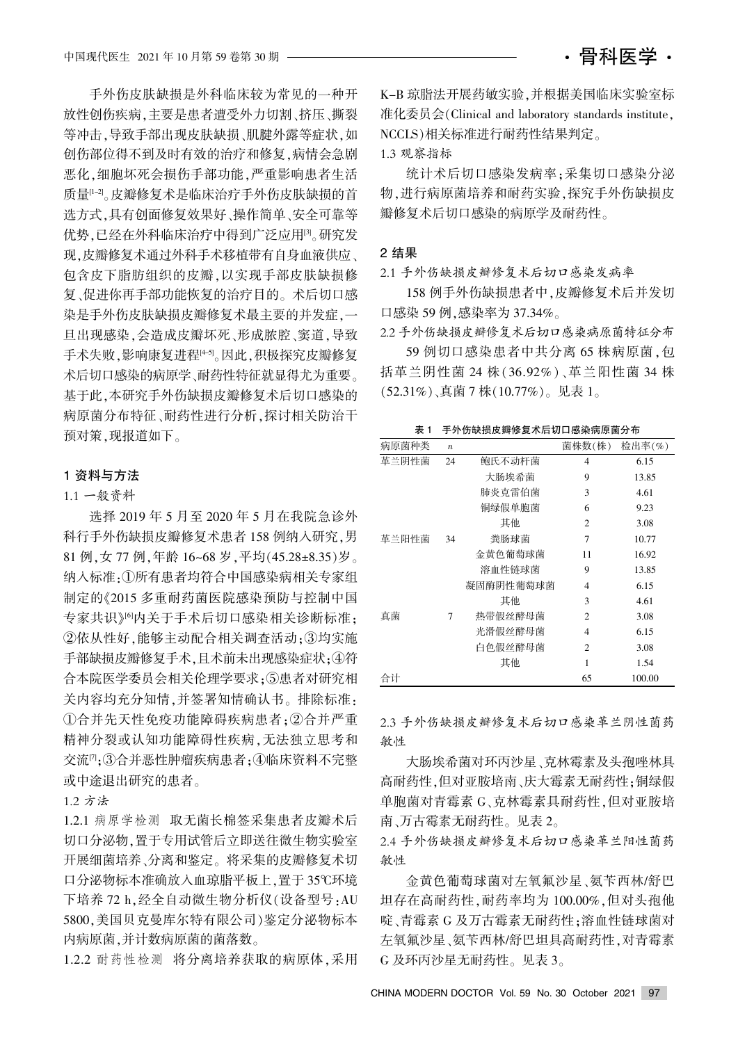手外伤皮肤缺损是外科临床较为常见的一种开 放性创伤疾病,主要是患者遭受外力切割、挤压、撕裂 等冲击,导致手部出现皮肤缺损、肌腱外露等症状,如 创伤部位得不到及时有效的治疗和修复,病情会急剧 恶化,细胞坏死会损伤手部功能,严重影响患者生活 质量[1-2]。皮瓣修复术是临床治疗手外伤皮肤缺损的首 选方式,具有创面修复效果好、操作简单、安全可靠等 优势,已经在外科临床治疗中得到广泛应用<sup>[3]</sup>。研究发 现.皮瓣修复术通过外科手术移植带有自身血液供应。 包含皮下脂肪组织的皮瓣,以实现手部皮肤缺损修 复、促进你再手部功能恢复的治疗目的。术后切口感 染是手外伤皮肤缺损皮瓣修复术最主要的并发症,一 旦出现感染,会造成皮瓣坏死、形成脓腔、窦道,导致 手术失败,影响康复进程[45]。因此,积极探究皮瓣修复 术后切口感染的病原学、耐药性特征就显得尤为重要。 基于此,本研究手外伤缺损皮瓣修复术后切口感染的 病原菌分布特征、耐药性进行分析, 探讨相关防治干 预对策,现报道如下。

#### 1 资料与方法

## 1.1 一般资料

选择 2019 年 5 月至 2020 年 5 月在我院急诊外 科行手外伤缺损皮瓣修复术患者 158 例纳入研究,男 81 例, 女 77 例, 年龄 16~68 岁, 平均(45.28±8.35)岁。 纳入标准:1所有患者均符合中国感染病相关专家组 制定的叶2015 多重耐药菌医院感染预防与控制中国 专家共识》向关于手术后切口感染相关诊断标准: ②依从性好,能够主动配合相关调查活动;3均实施 手部缺损皮瓣修复手术,且术前未出现感染症状:4符 合本院医学委员会相关伦理学要求;5患者对研究相 关内容均充分知情,并签署知情确认书。排除标准: ①合并先天性免疫功能障碍疾病患者:2合并严重 精神分裂或认知功能障碍性疾病,无法独立思考和 交流<sup>[7</sup>]; ③合并恶性肿瘤疾病患者; ④临床资料不完整 或中途退出研究的患者。

## 1.2 方法

1.2.1 病原学检测 取无菌长棉签采集患者皮瓣术后 切口分泌物, 置于专用试管后立即送往微生物实验室 开展细菌培养、分离和鉴定。将采集的皮瓣修复术切 口分泌物标本准确放入血琼脂平板上,置于 35℃环境 下培养 72 h, 经全自动微生物分析仪(设备型号: AU 5800,美国贝克曼库尔特有限公司)鉴定分泌物标本 内病原菌,并计数病原菌的菌落数。

1.2.2 耐药性检测 将分离培养获取的病原体,采用

K-B 琼脂法开展药敏实验,并根据美国临床实验室标 准化委员会(Clinical and laboratory standards institute, NCCLS)相关标准进行耐药性结果判定。

1.3 观察指标

统计术后切口感染发病率;采集切口感染分泌 物,进行病原菌培养和耐药实验,探究手外伤缺损皮 瓣修复术后切口感染的病原学及耐药性。

#### 2 结果

2.1 手外伤缺损皮瓣修复术后切口感染发病率

158 例手外伤缺损患者中,皮瓣修复术后并发切 口感染 59 例.感染率为 37.34%。

2.2 手外伤缺损皮瓣修复术后切口感染病原菌特征分布

59 例切口感染患者中共分离 65 株病原菌, 包 括革兰阴性菌 24 株(36.92%)、革兰阳性菌 34 株 (52.31%)、真菌 7 株 $(10.77\%)$ 。见表 1。

表 1 手外伤缺损皮瓣修复术后切口感染病原菌分布

| 病原菌种类 | $\boldsymbol{n}$ |           | 菌株数(株)         | 检出率 $(\% )$ |
|-------|------------------|-----------|----------------|-------------|
| 革兰阴性菌 | 24               | 鲍氏不动杆菌    | 4              | 6.15        |
|       |                  | 大肠埃希菌     | 9              | 13.85       |
|       |                  | 肺炎克雷伯菌    | 3              | 4.61        |
|       |                  | 铜绿假单胞菌    | 6              | 9.23        |
|       |                  | 其他        | $\overline{2}$ | 3.08        |
| 革兰阳性菌 | 34               | 粪肠球菌      | 7              | 10.77       |
|       |                  | 金黄色葡萄球菌   | 11             | 16.92       |
|       |                  | 溶血性链球菌    | 9              | 13.85       |
|       |                  | 凝固酶阴性葡萄球菌 | 4              | 6.15        |
|       |                  | 其他        | 3              | 4.61        |
| 真菌    | 7                | 热带假丝酵母菌   | $\overline{2}$ | 3.08        |
|       |                  | 光滑假丝酵母菌   | $\overline{4}$ | 6.15        |
|       |                  | 白色假丝酵母菌   | $\overline{c}$ | 3.08        |
|       |                  | 其他        | 1              | 1.54        |
| 合计    |                  |           | 65             | 100.00      |

2.3 手外伤缺损皮瓣修复术后切口感染革兰阴性菌药 敏性

大肠埃希菌对环丙沙星、克林霉素及头孢唑林具 高耐药性,但对亚胺培南、庆大霉素无耐药性;铜绿假 单胞菌对青霉素 G、克林霉素具耐药性,但对亚胺培 南、万古霉素无耐药性。见表 2。

2.4 手外伤缺损皮瓣修复术后切口感染革兰阳性菌药 敏性

金黄色葡萄球菌对左氧氟沙星、氨苄西林/舒巴 坦存在高耐药性,耐药率均为 100.00%,但对头孢他 啶、青霉素 G 及万古霉素无耐药性:溶血性链球菌对 左氧氟沙星、氨苄西林/舒巴坦具高耐药性,对青霉素 G 及环丙沙星无耐药性。见表 3。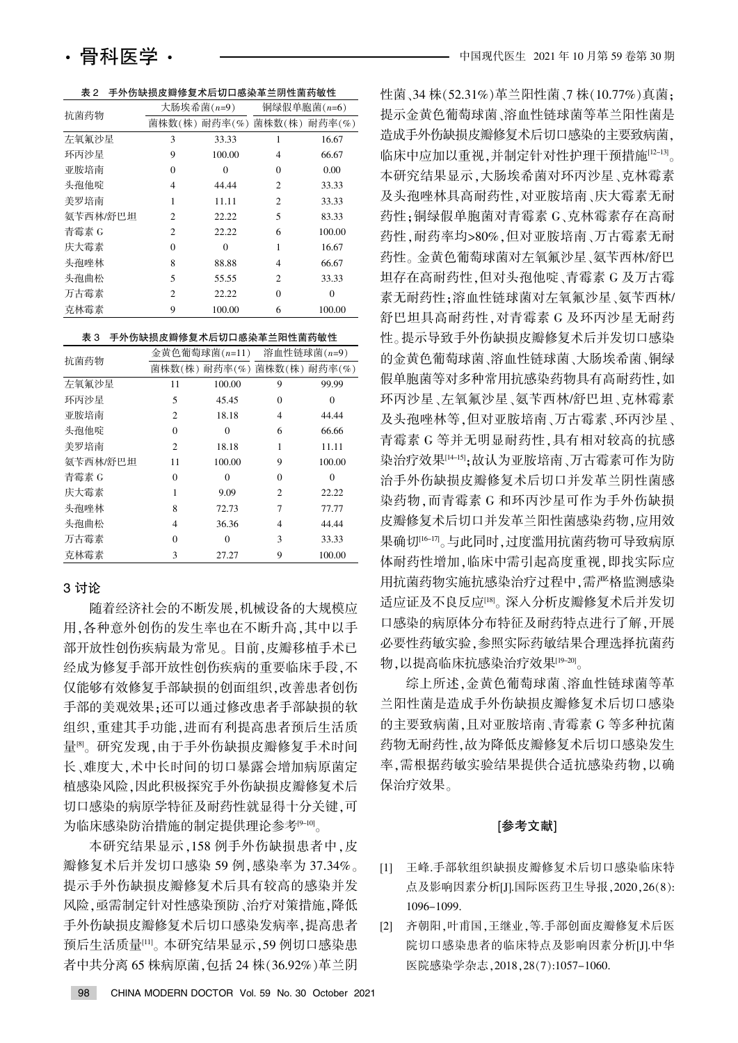表 2 手外伤缺损皮瓣修复术后切口感染革兰阴性菌药敏性

| 抗菌药物     | 大肠埃希菌 $(n=9)$  |               | 铜绿假单胞菌(n=6)    |          |
|----------|----------------|---------------|----------------|----------|
|          |                | 菌株数(株) 耐药率(%) | 菌株数(株) 耐药率(%)  |          |
| 左氧氟沙星    | 3              | 33.33         | 1              | 16.67    |
| 环丙沙星     | 9              | 100.00        | 4              | 66.67    |
| 亚胺培南     | 0              | $\Omega$      | 0              | 0.00     |
| 头孢他啶     | $\overline{4}$ | 44.44         | $\overline{c}$ | 33.33    |
| 美罗培南     | 1              | 11.11         | $\overline{c}$ | 33.33    |
| 氨苄西林/舒巴坦 | $\mathfrak{D}$ | 22.22         | 5              | 83.33    |
| 青霉素 G    | $\mathfrak{D}$ | 22.22         | 6              | 100.00   |
| 庆大霉素     | $\Omega$       | $\Omega$      | 1              | 16.67    |
| 头孢唑林     | 8              | 88.88         | 4              | 66.67    |
| 头孢曲松     | 5              | 55.55         | $\overline{c}$ | 33.33    |
| 万古霉素     | $\mathfrak{D}$ | 22.22         | $\theta$       | $\theta$ |
| 克林霉素     | 9              | 100.00        | 6              | 100.00   |

| 抗菌药物     | 金黄色葡萄球菌 $(n=11)$ |          | 溶血性链球菌(n=9)                 |          |
|----------|------------------|----------|-----------------------------|----------|
|          |                  |          | 菌株数(株) 耐药率(%) 菌株数(株) 耐药率(%) |          |
| 左氧氟沙星    | 11               | 100.00   | 9                           | 99.99    |
| 环丙沙星     | 5                | 45.45    | $\theta$                    | 0        |
| 亚胺培南     | $\overline{c}$   | 18.18    | $\overline{4}$              | 44.44    |
| 头孢他啶     | $\Omega$         | $\Omega$ | 6                           | 66.66    |
| 美罗培南     | $\overline{c}$   | 18.18    | 1                           | 11.11    |
| 氨苄西林/舒巴坦 | 11               | 100.00   | 9                           | 100.00   |
| 青霉素 G    | 0                | $\Omega$ | $\Omega$                    | $\Omega$ |
| 庆大霉素     | 1                | 9.09     | $\overline{c}$              | 22.22    |
| 头孢唑林     | 8                | 72.73    | 7                           | 77.77    |
| 头孢曲松     | 4                | 36.36    | 4                           | 44.44    |
| 万古霉素     | $\theta$         | $\theta$ | 3                           | 33.33    |
| 克林霉素     | 3                | 27.27    | 9                           | 100.00   |

## 3 讨论

随着经济社会的不断发展,机械设备的大规模应 用,各种意外创伤的发生率也在不断升高,其中以手 部开放性创伤疾病最为常见。目前,皮瓣移植手术已 经成为修复手部开放性创伤疾病的重要临床手段,不 仅能够有效修复手部缺损的创面组织,改善患者创伤 手部的美观效果:还可以通过修改患者手部缺损的软 组织,重建其手功能,进而有利提高患者预后生活质 量<sup>图</sup>。研究发现,由于手外伤缺损皮瓣修复手术时间 长、难度大,术中长时间的切口暴露会增加病原菌定 植感染风险,因此积极探究手外伤缺损皮瓣修复术后 切口感染的病原学特征及耐药性就显得十分关键.可 为临床感染防治措施的制定提供理论参考[9-10]。

本研究结果显示,158 例手外伤缺损患者中,皮 瓣修复术后并发切口感染 59 例,感染率为 37.34%。 提示手外伤缺损皮瓣修复术后具有较高的感染并发 风险,亟需制定针对性感染预防、治疗对策措施,降低 手外伤缺损皮瓣修复术后切口感染发病率,提高患者 预后生活质量[11]。本研究结果显示: 59 例切口感染患 者中共分离 65 株病原菌, 包括 24 株 (36.92%) 革兰阴 性菌、34株(52.31%)革兰阳性菌、7株(10.77%)真菌; 提示金黄色葡萄球菌、溶血性链球菌等革兰阳性菌是 造成手外伤缺损皮瓣修复术后切口感染的主要致病菌. 临床中应加以重视,并制定针对性护理干预措施[12-13]。 本研究结果显示,大肠埃希菌对环丙沙星、克林霉素 及头孢唑林具高耐药性,对亚胺培南、庆大霉素无耐 药性;铜绿假单胞菌对青霉素 G、克林霉素存在高耐 药性,耐药率均>80%,但对亚胺培南、万古霉素无耐 药性。金黄色葡萄球菌对左氧氟沙星、氨苄西林/舒巴 坦存在高耐药性,但对头孢他啶、青霉素 G 及万古霉 素无耐药性:溶血性链球菌对左氧氟沙星、氨苄西林/ 舒巴坦具高耐药性, 对青霉素 G 及环丙沙星无耐药 性。提示导致手外伤缺损皮瓣修复术后并发切口感染 的金黄色葡萄球菌、溶血性链球菌、大肠埃希菌、铜绿 假单胞菌等对多种常用抗感染药物具有高耐药性.如 环丙沙星、左氧氟沙星、氨苄西林/舒巴坦、克林霉素 及头孢唑林等,但对亚胺培南、万古霉素、环丙沙星、 青霉素 G 等并无明显耐药性,具有相对较高的抗感 染治疗效果[14-15]:故认为亚胺培南、万古霉素可作为防 治手外伤缺损皮瓣修复术后切口并发革兰阴性菌感 染药物, 而青霉素 G 和环丙沙星可作为手外伤缺损 皮瓣修复术后切口并发革兰阳性菌感染药物,应用效 果确切<sup>[16-17</sup>。与此同时,过度滥用抗菌药物可导致病原 体耐药性增加,临床中需引起高度重视,即找实际应 用抗菌药物实施抗感染治疗过程中,需严格监测感染 适应证及不良反应[18]。深入分析皮瓣修复术后并发切 口感染的病原体分布特征及耐药特点进行了解,开展 必要性药敏实验,参照实际药敏结果合理选择抗菌药 物,以提高临床抗感染治疗效果[19-20]。

综上所述,金黄色葡萄球菌、溶血性链球菌等革 兰阳性菌是造成手外伤缺损皮瓣修复术后切口感染 的主要致病菌,且对亚胺培南、青霉素 G 等多种抗菌 药物无耐药性,故为降低皮瓣修复术后切口感染发生 率. 需根据药敏实验结果提供合适抗感染药物, 以确 保治疗效果。

### [参考文献]

- [1] 王峰.手部软组织缺损皮瓣修复术后切口感染临床特 点及影响因素分析[J].国际医药卫生导报, 2020, 26(8): 1096-1099.
- [2] 齐朝阳,叶甫国,王继业,等.手部创面皮瓣修复术后医 院切口感染患者的临床特点及影响因素分析[J].中华 医院感染学杂志, 2018, 28(7): 1057-1060.